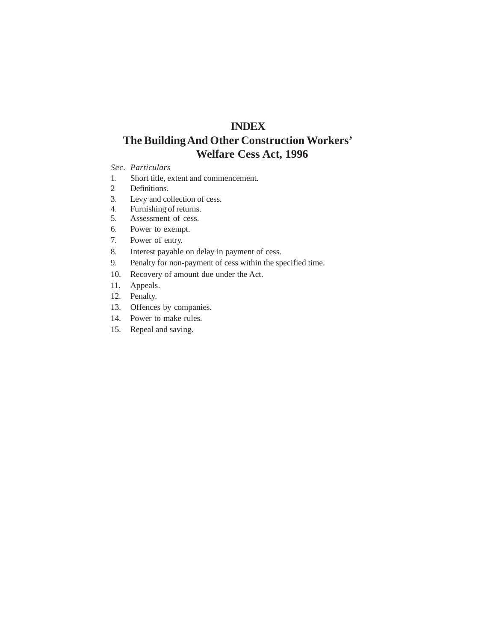### **INDEX**

# **The Building And Other Construction Workers' Welfare Cess Act, 1996**

#### *Sec. Particulars*

- 1. Short title, extent and commencement.
- 2 Definitions.
- 3. Levy and collection of cess.
- 4. Furnishing of returns.
- 5. Assessment of cess.
- 6. Power to exempt.
- 7. Power of entry.
- 8. Interest payable on delay in payment of cess.
- 9. Penalty for non-payment of cess within the specified time.
- 10. Recovery of amount due under the Act.
- 11. Appeals.
- 12. Penalty.
- 13. Offences by companies.
- 14. Power to make rules.
- 15. Repeal and saving.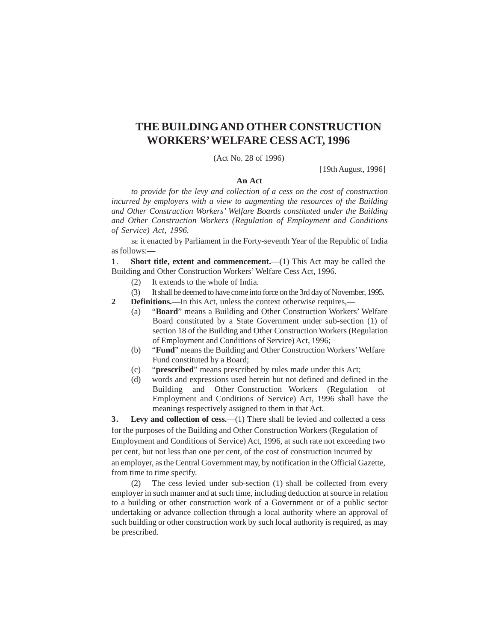## **THE BUILDING AND OTHER CONSTRUCTION WORKERS' WELFARE CESS ACT, 1996**

(Act No. 28 of 1996)

[19th August, 1996]

### **An Act**

*to provide for the levy and collection of a cess on the cost of construction incurred by employers with a view to augmenting the resources of the Building and Other Construction Workers' Welfare Boards constituted under the Building and Other Construction Workers (Regulation of Employment and Conditions of Service) Act, 1996.*

BE it enacted by Parliament in the Forty-seventh Year of the Republic of India as follows:—

**1.** Short title, extent and commencement.—(1) This Act may be called the Building and Other Construction Workers' Welfare Cess Act, 1996.

- (2) It extends to the whole of India.
- (3) It shall be deemed to have come into force on the 3rd day of November, 1995.
- **2 Definitions.**—In this Act, unless the context otherwise requires,—
	- (a) "**Board**" means a Building and Other Construction Workers' Welfare Board constituted by a State Government under sub-section (1) of section 18 of the Building and Other Construction Workers (Regulation of Employment and Conditions of Service) Act, 1996;
	- (b) "**Fund**" means the Building and Other Construction Workers' Welfare Fund constituted by a Board;
	- (c) "**prescribed**" means prescribed by rules made under this Act;
	- (d) words and expressions used herein but not defined and defined in the Building and Other Construction Workers (Regulation of Employment and Conditions of Service) Act, 1996 shall have the meanings respectively assigned to them in that Act.

**3.** Levy and collection of cess.—(1) There shall be levied and collected a cess for the purposes of the Building and Other Construction Workers (Regulation of Employment and Conditions of Service) Act, 1996, at such rate not exceeding two per cent, but not less than one per cent, of the cost of construction incurred by an employer, as the Central Government may, by notification in the Official Gazette, from time to time specify.

(2) The cess levied under sub-section (1) shall be collected from every employer in such manner and at such time, including deduction at source in relation to a building or other construction work of a Government or of a public sector undertaking or advance collection through a local authority where an approval of such building or other construction work by such local authority is required, as may be prescribed.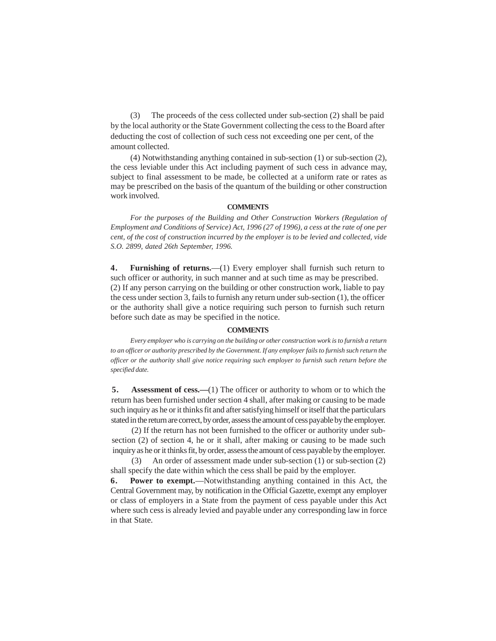(3) The proceeds of the cess collected under sub-section (2) shall be paid by the local authority or the State Government collecting the cess to the Board after deducting the cost of collection of such cess not exceeding one per cent, of the amount collected.

(4) Notwithstanding anything contained in sub-section (1) or sub-section (2), the cess leviable under this Act including payment of such cess in advance may, subject to final assessment to be made, be collected at a uniform rate or rates as may be prescribed on the basis of the quantum of the building or other construction work involved.

#### **COMMENTS**

*For the purposes of the Building and Other Construction Workers (Regulation of Employment and Conditions of Service) Act, 1996 (27 of 1996), a cess at the rate of one per cent, of the cost of construction incurred by the employer is to be levied and collected, vide S.O. 2899, dated 26th September, 1996.*

**4 . Furnishing of returns.**—(1) Every employer shall furnish such return to such officer or authority, in such manner and at such time as may be prescribed. (2) If any person carrying on the building or other construction work, liable to pay the cess under section 3, fails to furnish any return under sub-section (1), the officer or the authority shall give a notice requiring such person to furnish such return before such date as may be specified in the notice.

#### **COMMENTS**

*Every employer who is carrying on the building or other construction work is to furnish a return to an officer or authority prescribed by the Government. If any employer fails to furnish such return the officer or the authority shall give notice requiring such employer to furnish such return before the specified date.*

**5.** Assessment of cess.—(1) The officer or authority to whom or to which the return has been furnished under section 4 shall, after making or causing to be made such inquiry as he or it thinks fit and after satisfying himself or itself that the particulars stated in the return are correct, by order, assess the amount of cess payable by the employer.

(2) If the return has not been furnished to the officer or authority under subsection (2) of section 4, he or it shall, after making or causing to be made such inquiry as he or it thinks fit, by order, assess the amount of cess payable by the employer.

(3) An order of assessment made under sub-section (1) or sub-section (2) shall specify the date within which the cess shall be paid by the employer.

**6 . Power to exempt.**—Notwithstanding anything contained in this Act, the Central Government may, by notification in the Official Gazette, exempt any employer or class of employers in a State from the payment of cess payable under this Act where such cess is already levied and payable under any corresponding law in force in that State.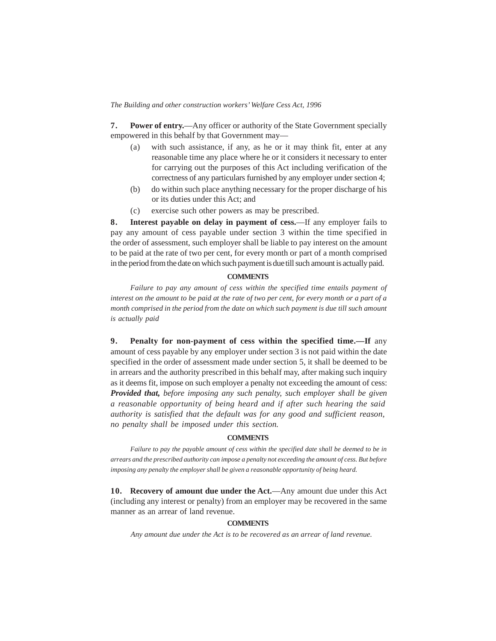*The Building and other construction workers' Welfare Cess Act, 1996* 

**7 . Power of entry.**—Any officer or authority of the State Government specially empowered in this behalf by that Government may—

- (a) with such assistance, if any, as he or it may think fit, enter at any reasonable time any place where he or it considers it necessary to enter for carrying out the purposes of this Act including verification of the correctness of any particulars furnished by any employer under section 4;
- (b) do within such place anything necessary for the proper discharge of his or its duties under this Act; and
- (c) exercise such other powers as may be prescribed.

**8 . Interest payable on delay in payment of cess.**—If any employer fails to pay any amount of cess payable under section 3 within the time specified in the order of assessment, such employer shall be liable to pay interest on the amount to be paid at the rate of two per cent, for every month or part of a month comprised in the period from the date on which such payment is due till such amount is actually paid.

### **COMMENTS**

Failure to pay any amount of cess within the specified time entails payment of *interest on the amount to be paid at the rate of two per cent, for every month or a part of a month comprised in the period from the date on which such payment is due till such amount is actually paid*

**9 . Penalty for non-payment of cess within the specified time.—If** any amount of cess payable by any employer under section 3 is not paid within the date specified in the order of assessment made under section 5, it shall be deemed to be in arrears and the authority prescribed in this behalf may, after making such inquiry as it deems fit, impose on such employer a penalty not exceeding the amount of cess: *Provided that, before imposing any such penalty, such employer shall be given a reasonable opportunity of being heard and if after such hearing the said authority is satisfied that the default was for any good and sufficient reason, no penalty shall be imposed under this section.*

#### **COMMENTS**

*Failure to pay the payable amount of cess within the specified date shall be deemed to be in arrears and the prescribed authority can impose a penalty not exceeding the amount of cess. But before imposing any penalty the employer shall be given a reasonable opportunity of being heard.*

**10. Recovery of amount due under the Act.**—Any amount due under this Act (including any interest or penalty) from an employer may be recovered in the same manner as an arrear of land revenue.

#### **COMMENTS**

*Any amount due under the Act is to be recovered as an arrear of land revenue.*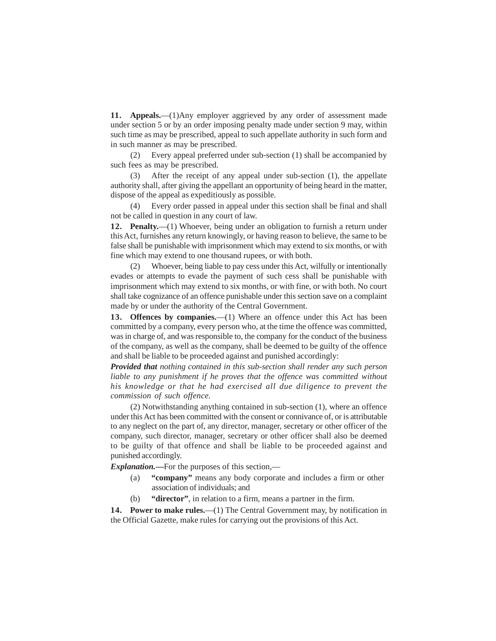**11. Appeals.**—(1)Any employer aggrieved by any order of assessment made under section 5 or by an order imposing penalty made under section 9 may, within such time as may be prescribed, appeal to such appellate authority in such form and in such manner as may be prescribed.

(2) Every appeal preferred under sub-section (1) shall be accompanied by such fees as may be prescribed.

(3) After the receipt of any appeal under sub-section (1), the appellate authority shall, after giving the appellant an opportunity of being heard in the matter, dispose of the appeal as expeditiously as possible.

(4) Every order passed in appeal under this section shall be final and shall not be called in question in any court of law.

**12. Penalty.**—(1) Whoever, being under an obligation to furnish a return under this Act, furnishes any return knowingly, or having reason to believe, the same to be false shall be punishable with imprisonment which may extend to six months, or with fine which may extend to one thousand rupees, or with both.

(2) Whoever, being liable to pay cess under this Act, wilfully or intentionally evades or attempts to evade the payment of such cess shall be punishable with imprisonment which may extend to six months, or with fine, or with both. No court shall take cognizance of an offence punishable under this section save on a complaint made by or under the authority of the Central Government.

13. Offences by companies.—(1) Where an offence under this Act has been committed by a company, every person who, at the time the offence was committed, was in charge of, and was responsible to, the company for the conduct of the business of the company, as well as the company, shall be deemed to be guilty of the offence and shall be liable to be proceeded against and punished accordingly:

*Provided that nothing contained in this sub-section shall render any such person*  liable to any punishment if he proves that the offence was committed without *his knowledge or that he had exercised all due diligence to prevent the commission of such offence.*

(2) Notwithstanding anything contained in sub-section (1), where an offence under this Act has been committed with the consent or connivance of, or is attributable to any neglect on the part of, any director, manager, secretary or other officer of the company, such director, manager, secretary or other officer shall also be deemed to be guilty of that offence and shall be liable to be proceeded against and punished accordingly.

*Explanation.***—**For the purposes of this section,—

- (a) **"company"** means any body corporate and includes a firm or other association of individuals; and
- (b) **"director"**, in relation to a firm, means a partner in the firm.

14. Power to make rules.—(1) The Central Government may, by notification in the Official Gazette, make rules for carrying out the provisions of this Act.